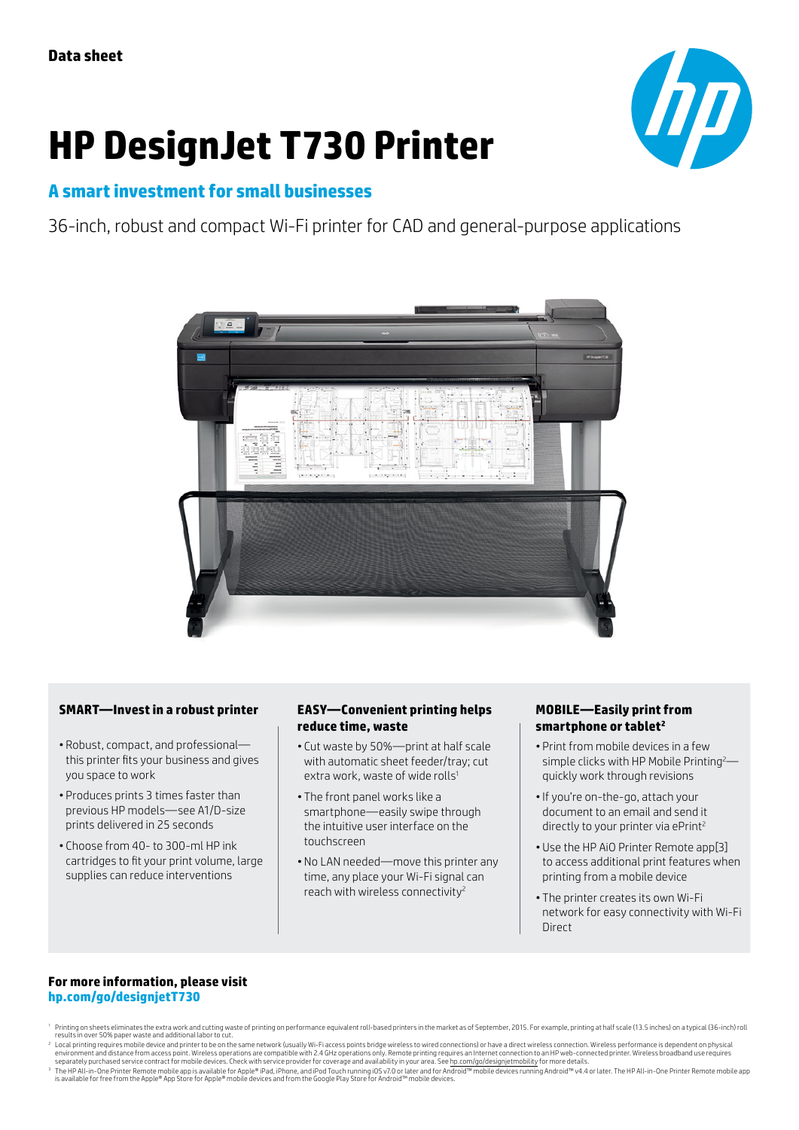# **HP DesignJet T730 Printer**



# **A smart investment for small businesses**

36-inch, robust and compact Wi-Fi printer for CAD and general-purpose applications



### **SMART—Invest in a robust printer**

- Robust, compact, and professional this printer fits your business and gives you space to work
- Produces prints 3 times faster than previous HP models—see A1/D-size prints delivered in 25 seconds
- Choose from 40- to 300-ml HP ink cartridges to fit your print volume, large supplies can reduce interventions

### **EASY—Convenient printing helps reduce time, waste**

- Cut waste by 50%—print at half scale with automatic sheet feeder/tray; cut extra work, waste of wide rolls<sup>1</sup>
- The front panel works like a smartphone—easily swipe through the intuitive user interface on the touchscreen
- No LAN needed—move this printer any time, any place your Wi-Fi signal can reach with wireless connectivity2

#### **MOBILE—Easily print from smartphone or tablet2**

- Print from mobile devices in a few simple clicks with HP Mobile Printing<sup>2</sup>quickly work through revisions
- •If you're on-the-go, attach your document to an email and send it directly to your printer via ePrint<sup>2</sup>
- Use the HP AiO Printer Remote app[3] to access additional print features when printing from a mobile device
- The printer creates its own Wi-Fi network for easy connectivity with Wi-Fi Direct

#### **For more information, please visit [hp.com/go/designjetT730](http://www.hp.com/go/DesignjetT730)**

- <sup>1</sup> Printing on sheets eliminates the extra work and cutting waste of printing on performance equivalent roll-based printers in the market as of September. 2015. For example, printing at half scale (13.5 inches) on a typic results in over 50% paper waste and additional labor to cut.
- Local printipa requires mobile device and printer to be on the same network (usually Wi-Fi access points bridge wireless to wired connections) or have a direct wireless connection. Wireless parformance is dependent on phys
- environment and distance from access point. Wireless operations are compatible with 2.4 GHz operations only. Remote printing requires an Internet connection to an HP web-connected printer. Wireless broadband use requires<br>